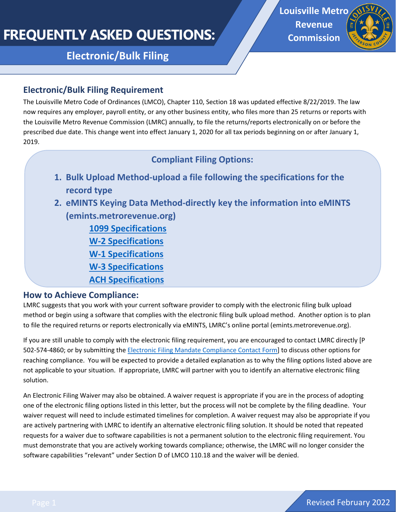# **FREQUENTLY ASKED QUESTIONS:**

**Electronic/Bulk Filing** 

**Louisville Metro Revenue Commission**



#### **Electronic/Bulk Filing Requirement**

The Louisville Metro Code of Ordinances (LMCO), Chapter 110, Section 18 was updated effective 8/22/2019. The law now requires any employer, payroll entity, or any other business entity, who files more than 25 returns or reports with the Louisville Metro Revenue Commission (LMRC) annually, to file the returns/reports electronically on or before the prescribed due date. This change went into effect January 1, 2020 for all tax periods beginning on or after January 1, 2019.

## **Compliant Filing Options:**

- **1. Bulk Upload Method-upload a file following the specifications for the record type**
- **2. eMINTS Keying Data Method-directly key the information into eMINTS (emints.metrorevenue.org)**

**[1099 Specifications](https://louisvilleky.gov/revenue-commission/document/1099lmrcspecification-2021) [W-2 Specifications](https://louisvilleky.gov/revenue-commission/document/w2lmrcspecification-2021) [W-1 Specifications](https://louisvilleky.gov/revenue-commission/document/w1lmrcspecification-0) [W-3 Specifications](https://louisvilleky.gov/revenue-commission/document/w3lmrcspecification-0) [ACH Specifications](https://louisvilleky.gov/revenue-commission/document/achcreditlmrcspecification-0)**

#### **How to Achieve Compliance:**

LMRC suggests that you work with your current software provider to comply with the electronic filing bulk upload method or begin using a software that complies with the electronic filing bulk upload method. Another option is to plan to file the required returns or reports electronically via eMINTS, LMRC's online portal (emints.metrorevenue.org).

If you are still unable to comply with the electronic filing requirement, you are encouraged to contact LMRC directly [P 502-574-4860; or by submitting the [Electronic Filing Mandate Compliance Contact Form\]](https://louisvilleky.wufoo.com/forms/electronic-filing-mandate-compliance-contact-form/) to discuss other options for reaching compliance. You will be expected to provide a detailed explanation as to why the filing options listed above are not applicable to your situation. If appropriate, LMRC will partner with you to identify an alternative electronic filing solution.

An Electronic Filing Waiver may also be obtained. A waiver request is appropriate if you are in the process of adopting one of the electronic filing options listed in this letter, but the process will not be complete by the filing deadline. Your waiver request will need to include estimated timelines for completion. A waiver request may also be appropriate if you are actively partnering with LMRC to identify an alternative electronic filing solution. It should be noted that repeated requests for a waiver due to software capabilities is not a permanent solution to the electronic filing requirement. You must demonstrate that you are actively working towards compliance; otherwise, the LMRC will no longer consider the software capabilities "relevant" under Section D of LMCO 110.18 and the waiver will be denied.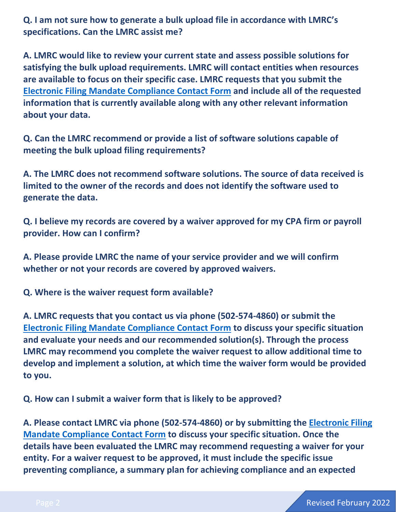**Q. I am not sure how to generate a bulk upload file in accordance with LMRC's specifications. Can the LMRC assist me?** 

**A. LMRC would like to review your current state and assess possible solutions for satisfying the bulk upload requirements. LMRC will contact entities when resources are available to focus on their specific case. LMRC requests that you submit the [Electronic Filing Mandate Compliance Contact Form](https://louisvilleky.wufoo.com/forms/electronic-filing-mandate-compliance-contact-form/) and include all of the requested information that is currently available along with any other relevant information about your data.** 

**Q. Can the LMRC recommend or provide a list of software solutions capable of meeting the bulk upload filing requirements?** 

**A. The LMRC does not recommend software solutions. The source of data received is limited to the owner of the records and does not identify the software used to generate the data.** 

**Q. I believe my records are covered by a waiver approved for my CPA firm or payroll provider. How can I confirm?**

**A. Please provide LMRC the name of your service provider and we will confirm whether or not your records are covered by approved waivers.** 

**Q. Where is the waiver request form available?** 

**A. LMRC requests that you contact us via phone (502-574-4860) or submit the [Electronic Filing Mandate Compliance Contact Form](https://louisvilleky.wufoo.com/forms/electronic-filing-mandate-compliance-contact-form/) to discuss your specific situation and evaluate your needs and our recommended solution(s). Through the process LMRC may recommend you complete the waiver request to allow additional time to develop and implement a solution, at which time the waiver form would be provided to you.** 

**Q. How can I submit a waiver form that is likely to be approved?** 

**A. Please contact LMRC via phone (502-574-4860) or by submitting the [Electronic Filing](https://louisvilleky.wufoo.com/forms/electronic-filing-mandate-compliance-contact-form/)  [Mandate Compliance Contact Form](https://louisvilleky.wufoo.com/forms/electronic-filing-mandate-compliance-contact-form/) to discuss your specific situation. Once the details have been evaluated the LMRC may recommend requesting a waiver for your entity. For a waiver request to be approved, it must include the specific issue preventing compliance, a summary plan for achieving compliance and an expected**